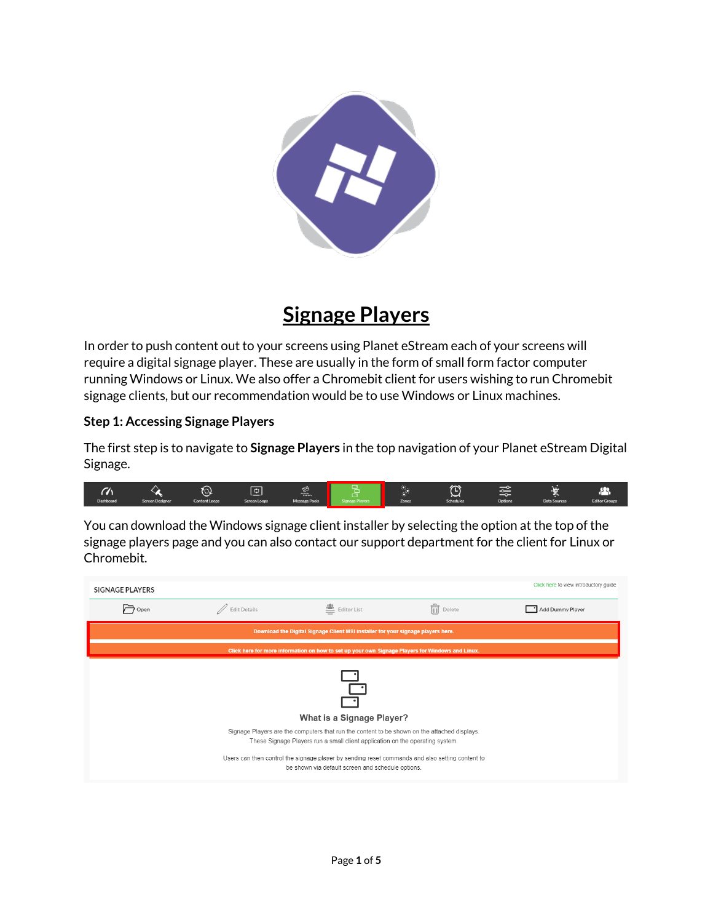

## **Signage Players**

In order to push content out to your screens using Planet eStream each of your screens will require a digital signage player. These are usually in the form of small form factor computer running Windows or Linux. We also offer a Chromebit client for users wishing to run Chromebit signage clients, but our recommendation would be to use Windows or Linux machines.

## **Step 1: Accessing Signage Players**

The first step is to navigate to **Signage Players** in the top navigation of your Planet eStream Digital Signage.

| m         |                        | <b>START</b><br>$\tilde{\phantom{a}}$ | __<br>т.     | ⇎<br><b>COOL</b>     | ∼<br>1111 | ~                | ∼<br>--        |              | ┍┯                   |
|-----------|------------------------|---------------------------------------|--------------|----------------------|-----------|------------------|----------------|--------------|----------------------|
| Dashboard | <b>Screen Designer</b> | <b>Content Loops</b>                  | Screen Loops | <b>Message Pools</b> | Zones     | <b>Schedules</b> | <b>Options</b> | Data Sources | <b>Editor Groups</b> |

You can download the Windows signage client installer by selecting the option at the top of the signage players page and you can also contact our support department for the client for Linux or Chromebit.

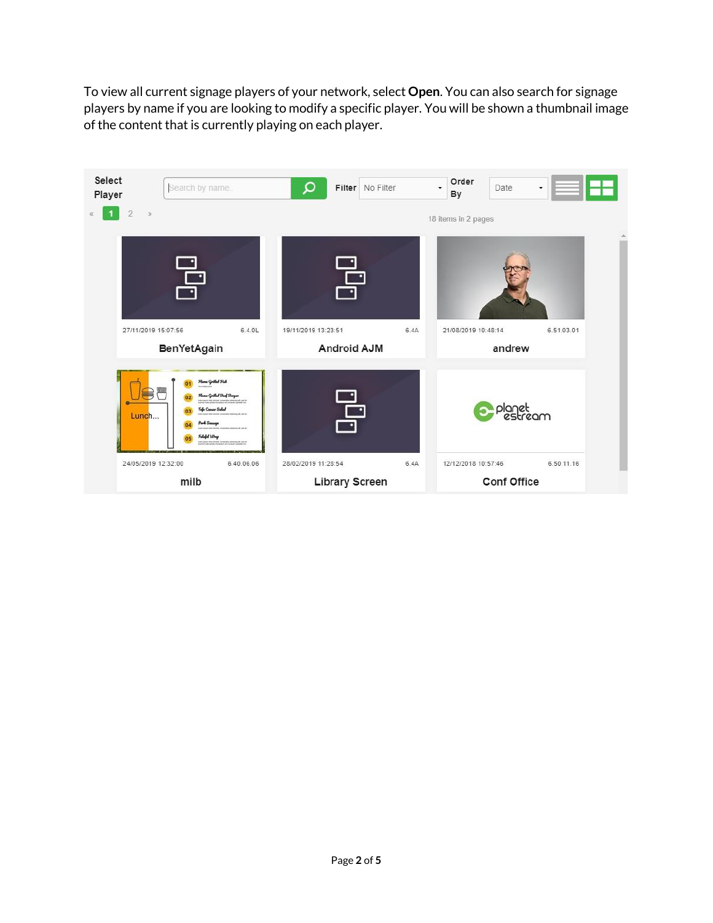To view all current signage players of your network, select **Open**. You can also search for signage players by name if you are looking to modify a specific player. You will be shown a thumbnail image of the content that is currently playing on each player.

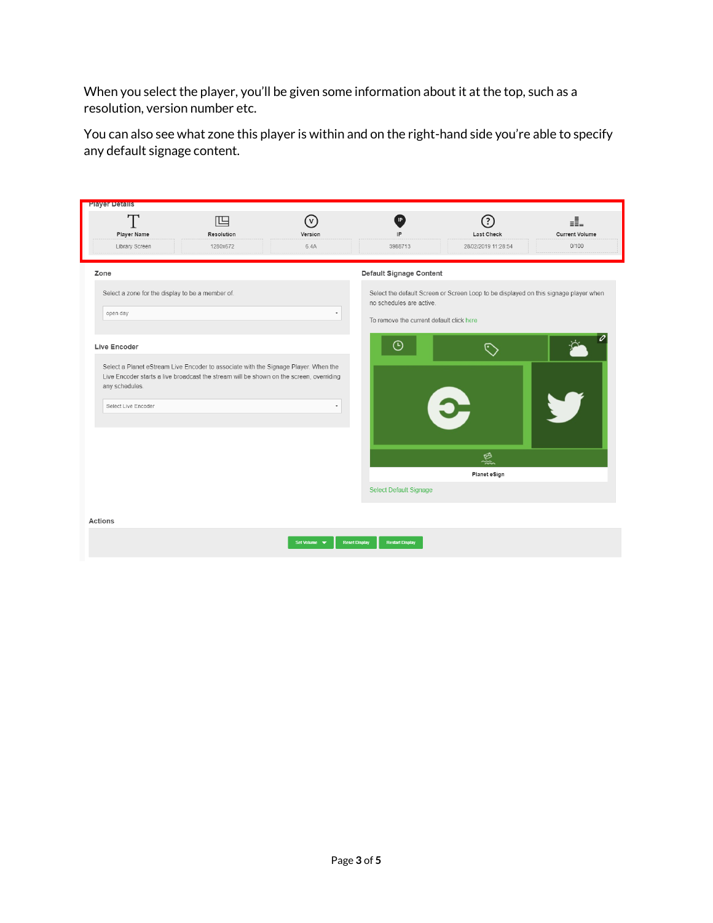When you select the player, you'll be given some information about it at the top, such as a resolution, version number etc.

You can also see what zone this player is within and on the right-hand side you're able to specify any default signage content.

| <b>Player Details</b>                                                                                                                                                          |                 |                |                                                |                                                                                      |                              |
|--------------------------------------------------------------------------------------------------------------------------------------------------------------------------------|-----------------|----------------|------------------------------------------------|--------------------------------------------------------------------------------------|------------------------------|
| T<br>Player Name                                                                                                                                                               | 呾<br>Resolution | (v)<br>Version | IP<br>IP                                       | $\overline{?}$<br>Last Check                                                         | eĽ.<br><b>Current Volume</b> |
| Library Screen                                                                                                                                                                 | 1280x672        | 6.4A           | 3988713                                        | 28/02/2019 11:28:54                                                                  | 0/100                        |
| Zone                                                                                                                                                                           |                 |                | <b>Default Signage Content</b>                 |                                                                                      |                              |
| Select a zone for the display to be a member of.                                                                                                                               |                 |                | no schedules are active.                       | Select the default Screen or Screen Loop to be displayed on this signage player when |                              |
| open day                                                                                                                                                                       |                 |                | To remove the current default click here       |                                                                                      |                              |
| Live Encoder                                                                                                                                                                   |                 |                | ∩                                              |                                                                                      |                              |
| Select a Planet eStream Live Encoder to associate with the Signage Player. When the<br>Live Encoder starts a live broadcast the stream will be shown on the screen, overriding |                 |                |                                                |                                                                                      |                              |
| any schedules.                                                                                                                                                                 |                 |                |                                                |                                                                                      |                              |
| Select Live Encoder                                                                                                                                                            |                 |                |                                                |                                                                                      |                              |
|                                                                                                                                                                                |                 |                |                                                |                                                                                      |                              |
|                                                                                                                                                                                |                 |                |                                                | 烝                                                                                    |                              |
|                                                                                                                                                                                |                 |                |                                                | Planet eSign                                                                         |                              |
|                                                                                                                                                                                |                 |                | <b>Select Default Signage</b>                  |                                                                                      |                              |
| <b>Actions</b>                                                                                                                                                                 |                 |                |                                                |                                                                                      |                              |
|                                                                                                                                                                                |                 | Set Volume v   | <b>Reset Display</b><br><b>Restart Display</b> |                                                                                      |                              |
|                                                                                                                                                                                |                 |                |                                                |                                                                                      |                              |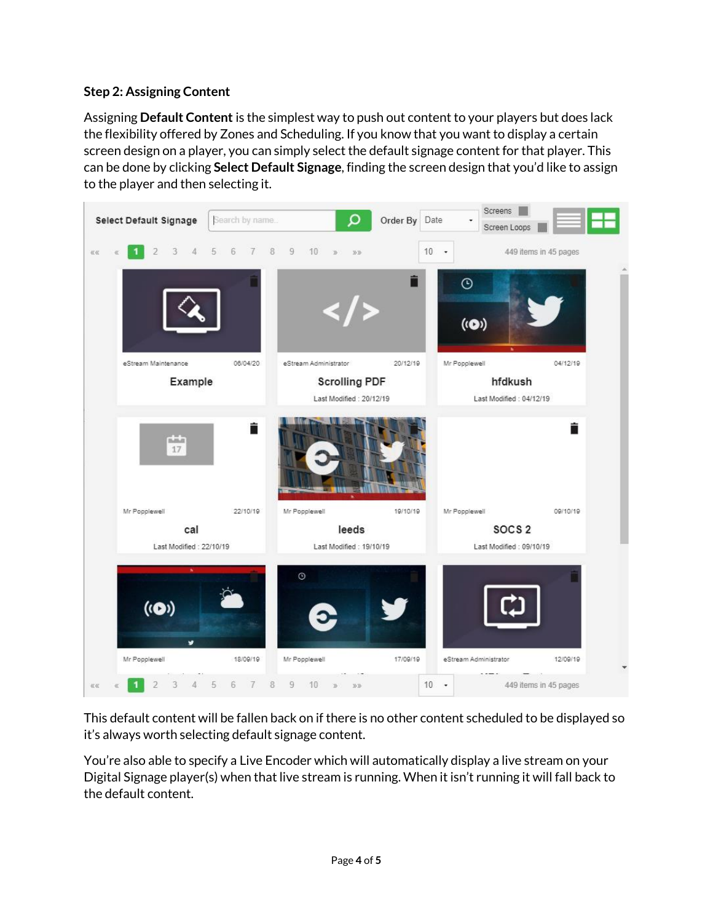## **Step 2: Assigning Content**

Assigning **Default Content** is the simplest way to push out content to your players but does lack the flexibility offered by Zones and Scheduling. If you know that you want to display a certain screen design on a player, you can simply select the default signage content for that player. This can be done by clicking **Select Default Signage**, finding the screen design that you'd like to assign to the player and then selecting it.



This default content will be fallen back on if there is no other content scheduled to be displayed so it's always worth selecting default signage content.

You're also able to specify a Live Encoder which will automatically display a live stream on your Digital Signage player(s) when that live stream is running. When it isn't running it will fall back to the default content.